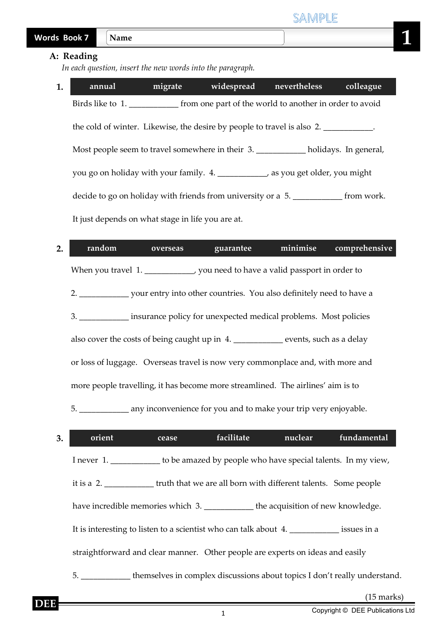| <b>Words B</b><br><b>Book 7</b> |
|---------------------------------|
|---------------------------------|

## **A: Reading**

 *In each question, insert the new words into the paragraph.*

**1. annual migrate widespread nevertheless colleague** Birds like to 1. The from one part of the world to another in order to avoid the cold of winter. Likewise, the desire by people to travel is also 2. \_\_\_\_\_\_\_\_\_\_. Most people seem to travel somewhere in their 3. \_\_\_\_\_\_\_\_\_\_\_\_ holidays. In general, you go on holiday with your family. 4. \_\_\_\_\_\_\_\_\_\_\_\_, as you get older, you might decide to go on holiday with friends from university or a 5. \_\_\_\_\_\_\_\_\_\_\_\_\_ from work. It just depends on what stage in life you are at.

| 2. | random | <b>overseas</b> | guarantee                                                                         | minimise | comprehensive |
|----|--------|-----------------|-----------------------------------------------------------------------------------|----------|---------------|
|    |        |                 | When you travel 1. ______________, you need to have a valid passport in order to  |          |               |
|    |        |                 |                                                                                   |          |               |
|    |        |                 | 3. ____________ insurance policy for unexpected medical problems. Most policies   |          |               |
|    |        |                 | also cover the costs of being caught up in 4. _________ events, such as a delay   |          |               |
|    |        |                 | or loss of luggage. Overseas travel is now very commonplace and, with more and    |          |               |
|    |        |                 | more people travelling, it has become more streamlined. The airlines' aim is to   |          |               |
|    |        |                 | 5. ______________ any inconvenience for you and to make your trip very enjoyable. |          |               |

| 3. | orient                                                                                       | cease | facilitate | nuclear | fundamental |
|----|----------------------------------------------------------------------------------------------|-------|------------|---------|-------------|
|    | I never 1. _____________ to be amazed by people who have special talents. In my view,        |       |            |         |             |
|    | it is a 2. _______________truth that we are all born with different talents. Some people     |       |            |         |             |
|    | have incredible memories which 3. _____________the acquisition of new knowledge.             |       |            |         |             |
|    | It is interesting to listen to a scientist who can talk about 4.                             |       |            |         |             |
|    | straightforward and clear manner. Other people are experts on ideas and easily               |       |            |         |             |
|    | 5. ________________themselves in complex discussions about topics I don't really understand. |       |            |         |             |
|    |                                                                                              |       |            |         |             |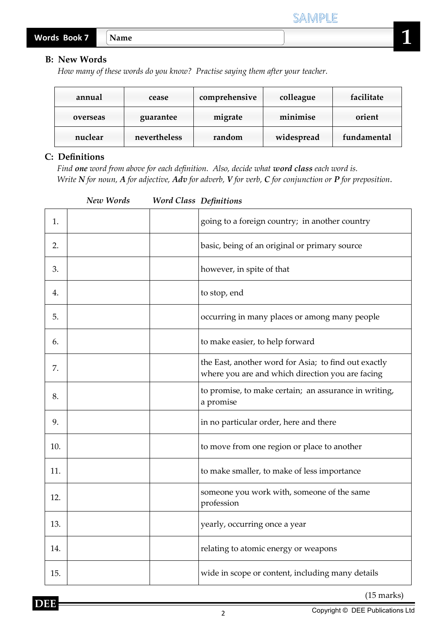## **B: New Words**

*How many of these words do you know? Practise saying them after your teacher.*

| annual   | cease        | comprehensive | colleague  | facilitate  |  |
|----------|--------------|---------------|------------|-------------|--|
| overseas | guarantee    | migrate       | minimise   | orient      |  |
| nuclear  | nevertheless | random        | widespread | fundamental |  |

## **C: Definitions**

 *Find one word from above for each definition. Also, decide what word class each word is. Write N for noun, A for adjective, Adv for adverb, V for verb, C for conjunction or P for preposition*.

| New Words<br><b>Word Class Definitions</b> |  |  |  |  |  |
|--------------------------------------------|--|--|--|--|--|
|--------------------------------------------|--|--|--|--|--|

| 1.  | going to a foreign country; in another country                                                           |
|-----|----------------------------------------------------------------------------------------------------------|
| 2.  | basic, being of an original or primary source                                                            |
| 3.  | however, in spite of that                                                                                |
| 4.  | to stop, end                                                                                             |
| 5.  | occurring in many places or among many people                                                            |
| 6.  | to make easier, to help forward                                                                          |
| 7.  | the East, another word for Asia; to find out exactly<br>where you are and which direction you are facing |
| 8.  | to promise, to make certain; an assurance in writing,<br>a promise                                       |
| 9.  | in no particular order, here and there                                                                   |
| 10. | to move from one region or place to another                                                              |
| 11. | to make smaller, to make of less importance                                                              |
| 12. | someone you work with, someone of the same<br>profession                                                 |
| 13. | yearly, occurring once a year                                                                            |
| 14. | relating to atomic energy or weapons                                                                     |
| 15. | wide in scope or content, including many details                                                         |

(15 marks)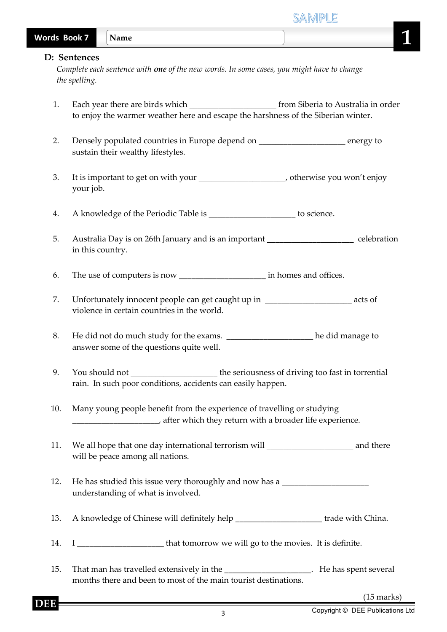| <b>Words Book 7</b> |                               | Name                                                                                                                                                                                 |                      |
|---------------------|-------------------------------|--------------------------------------------------------------------------------------------------------------------------------------------------------------------------------------|----------------------|
|                     | D: Sentences<br>the spelling. | Complete each sentence with one of the new words. In some cases, you might have to change                                                                                            |                      |
| 1.                  |                               | Each year there are birds which ____________________________ from Siberia to Australia in order<br>to enjoy the warmer weather here and escape the harshness of the Siberian winter. |                      |
| 2.                  |                               | Densely populated countries in Europe depend on __________________ energy to<br>sustain their wealthy lifestyles.                                                                    |                      |
| 3.                  | your job.                     |                                                                                                                                                                                      |                      |
| 4.                  |                               | A knowledge of the Periodic Table is ______________________ to science.                                                                                                              |                      |
| 5.                  |                               | Australia Day is on 26th January and is an important ____________________________ celebration<br>in this country.                                                                    |                      |
| 6.                  |                               |                                                                                                                                                                                      |                      |
| 7.                  |                               | Unfortunately innocent people can get caught up in _______________________ acts of<br>violence in certain countries in the world.                                                    |                      |
| 8.                  |                               | He did not do much study for the exams. _______________________he did manage to<br>answer some of the questions quite well.                                                          |                      |
| 9.                  |                               | You should not __________________________the seriousness of driving too fast in torrential<br>rain. In such poor conditions, accidents can easily happen.                            |                      |
| 10.                 |                               | Many young people benefit from the experience of travelling or studying<br>after which they return with a broader life experience.                                                   |                      |
| 11.                 |                               | We all hope that one day international terrorism will ___________________________ and there<br>will be peace among all nations.                                                      |                      |
| 12.                 |                               | He has studied this issue very thoroughly and now has a ________________________<br>understanding of what is involved.                                                               |                      |
| 13.                 |                               | A knowledge of Chinese will definitely help ________________________ trade with China.                                                                                               |                      |
| 14.                 |                               | I _________________________ that tomorrow we will go to the movies. It is definite.                                                                                                  |                      |
| 15.                 |                               | That man has travelled extensively in the ______________________. He has spent several<br>months there and been to most of the main tourist destinations.                            |                      |
|                     |                               |                                                                                                                                                                                      | $(15 \text{ marks})$ |